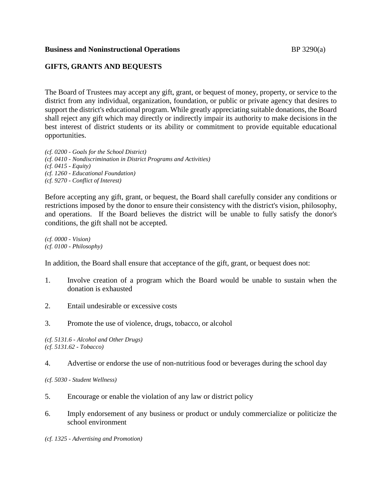### **Business and Noninstructional Operations BP** 3290(a)

## **GIFTS, GRANTS AND BEQUESTS**

The Board of Trustees may accept any gift, grant, or bequest of money, property, or service to the district from any individual, organization, foundation, or public or private agency that desires to support the district's educational program. While greatly appreciating suitable donations, the Board shall reject any gift which may directly or indirectly impair its authority to make decisions in the best interest of district students or its ability or commitment to provide equitable educational opportunities.

*(cf. 0200 - Goals for the School District) (cf. 0410 - Nondiscrimination in District Programs and Activities) (cf. 0415 - Equity) (cf. 1260 - Educational Foundation) (cf. 9270 - Conflict of Interest)*

Before accepting any gift, grant, or bequest, the Board shall carefully consider any conditions or restrictions imposed by the donor to ensure their consistency with the district's vision, philosophy, and operations. If the Board believes the district will be unable to fully satisfy the donor's conditions, the gift shall not be accepted.

*(cf. 0000 - Vision) (cf. 0100 - Philosophy)*

In addition, the Board shall ensure that acceptance of the gift, grant, or bequest does not:

- 1. Involve creation of a program which the Board would be unable to sustain when the donation is exhausted
- 2. Entail undesirable or excessive costs
- 3. Promote the use of violence, drugs, tobacco, or alcohol

*(cf. 5131.6 - Alcohol and Other Drugs) (cf. 5131.62 - Tobacco)*

4. Advertise or endorse the use of non-nutritious food or beverages during the school day

*(cf. 5030 - Student Wellness)*

- 5. Encourage or enable the violation of any law or district policy
- 6. Imply endorsement of any business or product or unduly commercialize or politicize the school environment

*(cf. 1325 - Advertising and Promotion)*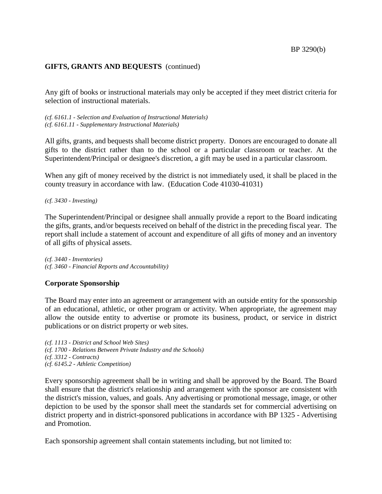## **GIFTS, GRANTS AND BEQUESTS** (continued)

Any gift of books or instructional materials may only be accepted if they meet district criteria for selection of instructional materials.

*(cf. 6161.1 - Selection and Evaluation of Instructional Materials) (cf. 6161.11 - Supplementary Instructional Materials)*

All gifts, grants, and bequests shall become district property. Donors are encouraged to donate all gifts to the district rather than to the school or a particular classroom or teacher. At the Superintendent/Principal or designee's discretion, a gift may be used in a particular classroom.

When any gift of money received by the district is not immediately used, it shall be placed in the county treasury in accordance with law. (Education Code 41030-41031)

*(cf. 3430 - Investing)*

The Superintendent/Principal or designee shall annually provide a report to the Board indicating the gifts, grants, and/or bequests received on behalf of the district in the preceding fiscal year. The report shall include a statement of account and expenditure of all gifts of money and an inventory of all gifts of physical assets.

*(cf. 3440 - Inventories) (cf. 3460 - Financial Reports and Accountability)*

## **Corporate Sponsorship**

The Board may enter into an agreement or arrangement with an outside entity for the sponsorship of an educational, athletic, or other program or activity. When appropriate, the agreement may allow the outside entity to advertise or promote its business, product, or service in district publications or on district property or web sites.

*(cf. 1113 - District and School Web Sites) (cf. 1700 - Relations Between Private Industry and the Schools) (cf. 3312 - Contracts) (cf. 6145.2 - Athletic Competition)*

Every sponsorship agreement shall be in writing and shall be approved by the Board. The Board shall ensure that the district's relationship and arrangement with the sponsor are consistent with the district's mission, values, and goals. Any advertising or promotional message, image, or other depiction to be used by the sponsor shall meet the standards set for commercial advertising on district property and in district-sponsored publications in accordance with BP 1325 - Advertising and Promotion.

Each sponsorship agreement shall contain statements including, but not limited to: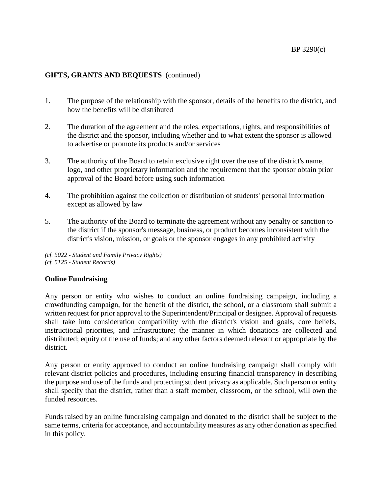# **GIFTS, GRANTS AND BEQUESTS** (continued)

- 1. The purpose of the relationship with the sponsor, details of the benefits to the district, and how the benefits will be distributed
- 2. The duration of the agreement and the roles, expectations, rights, and responsibilities of the district and the sponsor, including whether and to what extent the sponsor is allowed to advertise or promote its products and/or services
- 3. The authority of the Board to retain exclusive right over the use of the district's name, logo, and other proprietary information and the requirement that the sponsor obtain prior approval of the Board before using such information
- 4. The prohibition against the collection or distribution of students' personal information except as allowed by law
- 5. The authority of the Board to terminate the agreement without any penalty or sanction to the district if the sponsor's message, business, or product becomes inconsistent with the district's vision, mission, or goals or the sponsor engages in any prohibited activity

*(cf. 5022 - Student and Family Privacy Rights) (cf. 5125 - Student Records)*

## **Online Fundraising**

Any person or entity who wishes to conduct an online fundraising campaign, including a crowdfunding campaign, for the benefit of the district, the school, or a classroom shall submit a written request for prior approval to the Superintendent/Principal or designee. Approval of requests shall take into consideration compatibility with the district's vision and goals, core beliefs, instructional priorities, and infrastructure; the manner in which donations are collected and distributed; equity of the use of funds; and any other factors deemed relevant or appropriate by the district.

Any person or entity approved to conduct an online fundraising campaign shall comply with relevant district policies and procedures, including ensuring financial transparency in describing the purpose and use of the funds and protecting student privacy as applicable. Such person or entity shall specify that the district, rather than a staff member, classroom, or the school, will own the funded resources.

Funds raised by an online fundraising campaign and donated to the district shall be subject to the same terms, criteria for acceptance, and accountability measures as any other donation as specified in this policy.